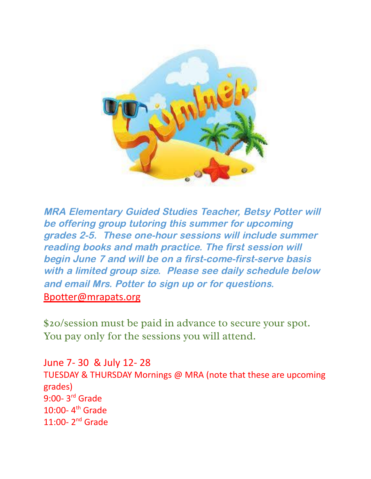

MRA Elementary Guided Studies Teacher, Betsy Potter will be offering group tutoring this summer for upcoming grades 2-5. These one-hour sessions will include summer reading books and math practice. The first session will begin June 7 and will be on <sup>a</sup> first-come-first-serve basis with <sup>a</sup> limited group size. Please see daily schedule below and email Mrs. Potter to sign up or for questions. [Bpotter@mrapats.org](mailto:Bpotter@mrapats.org)

\$20/session must be paid in advance to secure your spot. You pay only for the sessions you will attend.

June 7- 30 & July 12- 28 TUESDAY & THURSDAY Mornings @ MRA (note that these are upcoming grades) 9:00-3<sup>rd</sup> Grade 10:00- $4<sup>th</sup>$  Grade  $11:00-2<sup>nd</sup>$  Grade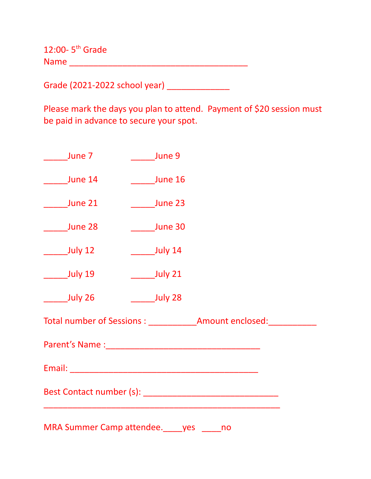12:00- $5<sup>th</sup>$  Grade Name \_\_\_\_\_\_\_\_\_\_\_\_\_\_\_\_\_\_\_\_\_\_\_\_\_\_\_\_\_\_\_\_\_\_\_\_\_

Grade (2021-2022 school year) \_\_\_\_\_\_\_\_\_\_\_\_\_\_

Please mark the days you plan to attend. Payment of \$20 session must be paid in advance to secure your spot.

| June 7  | <b>Example 1</b> June 9 |  |  |
|---------|-------------------------|--|--|
| June 14 | June 16                 |  |  |
| June 21 | June 23                 |  |  |
| June 28 | <b>June 30</b>          |  |  |
| July 12 | July 14                 |  |  |
| July 19 | July 21                 |  |  |
| July 26 | <b>Sandwid</b> July 28  |  |  |
|         |                         |  |  |
|         |                         |  |  |
|         |                         |  |  |
|         |                         |  |  |
|         |                         |  |  |

MRA Summer Camp attendee.\_\_\_\_yes \_\_\_\_no